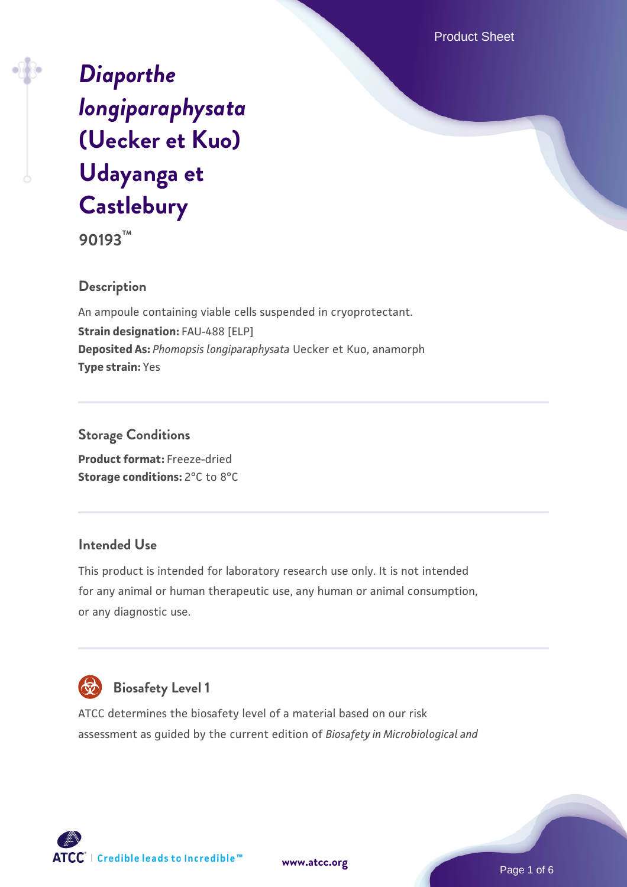Product Sheet

# *[Diaporthe](https://www.atcc.org/products/90193) [longiparaphysata](https://www.atcc.org/products/90193)* **[\(Uecker et Kuo\)](https://www.atcc.org/products/90193) [Udayanga et](https://www.atcc.org/products/90193) [Castlebury](https://www.atcc.org/products/90193)**

**90193™**

## **Description**

An ampoule containing viable cells suspended in cryoprotectant. **Strain designation:** FAU-488 [ELP] **Deposited As:** *Phomopsis longiparaphysata* Uecker et Kuo, anamorph **Type strain:** Yes

**Storage Conditions Product format:** Freeze-dried **Storage conditions: 2°C to 8°C** 

#### **Intended Use**

This product is intended for laboratory research use only. It is not intended for any animal or human therapeutic use, any human or animal consumption, or any diagnostic use.



# **Biosafety Level 1**

ATCC determines the biosafety level of a material based on our risk assessment as guided by the current edition of *Biosafety in Microbiological and*

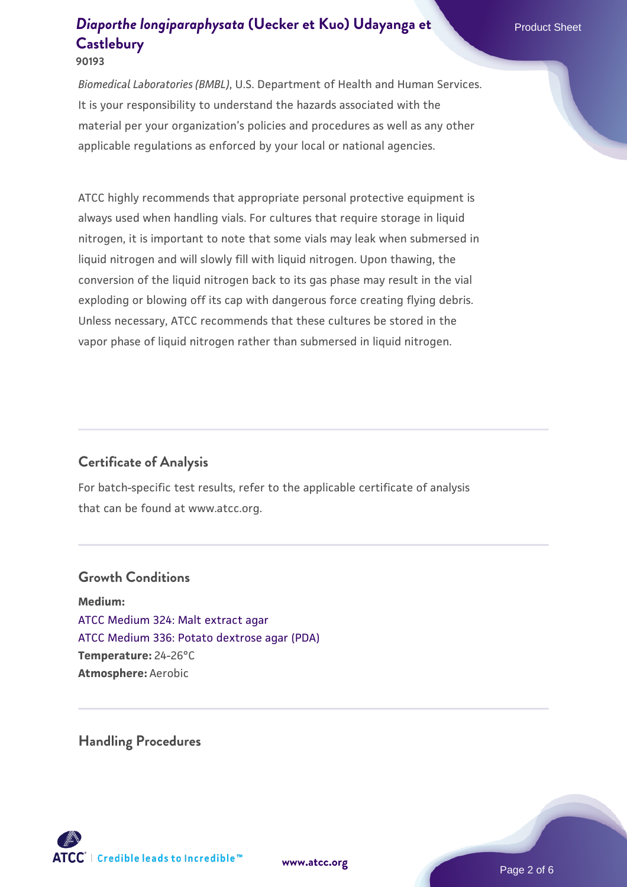*Biomedical Laboratories (BMBL)*, U.S. Department of Health and Human Services. It is your responsibility to understand the hazards associated with the material per your organization's policies and procedures as well as any other applicable regulations as enforced by your local or national agencies.

ATCC highly recommends that appropriate personal protective equipment is always used when handling vials. For cultures that require storage in liquid nitrogen, it is important to note that some vials may leak when submersed in liquid nitrogen and will slowly fill with liquid nitrogen. Upon thawing, the conversion of the liquid nitrogen back to its gas phase may result in the vial exploding or blowing off its cap with dangerous force creating flying debris. Unless necessary, ATCC recommends that these cultures be stored in the vapor phase of liquid nitrogen rather than submersed in liquid nitrogen.

# **Certificate of Analysis**

For batch-specific test results, refer to the applicable certificate of analysis that can be found at www.atcc.org.

#### **Growth Conditions**

**Medium:**  [ATCC Medium 324: Malt extract agar](https://www.atcc.org/-/media/product-assets/documents/microbial-media-formulations/3/2/4/atcc-medium-324.pdf?rev=5a8b3f6dcb23452d9462ec38b36f0bb6) [ATCC Medium 336: Potato dextrose agar \(PDA\)](https://www.atcc.org/-/media/product-assets/documents/microbial-media-formulations/3/3/6/atcc-medium-336.pdf?rev=d9160ad44d934cd8b65175461abbf3b9) **Temperature:** 24-26°C **Atmosphere:** Aerobic

**Handling Procedures**



**[www.atcc.org](http://www.atcc.org)**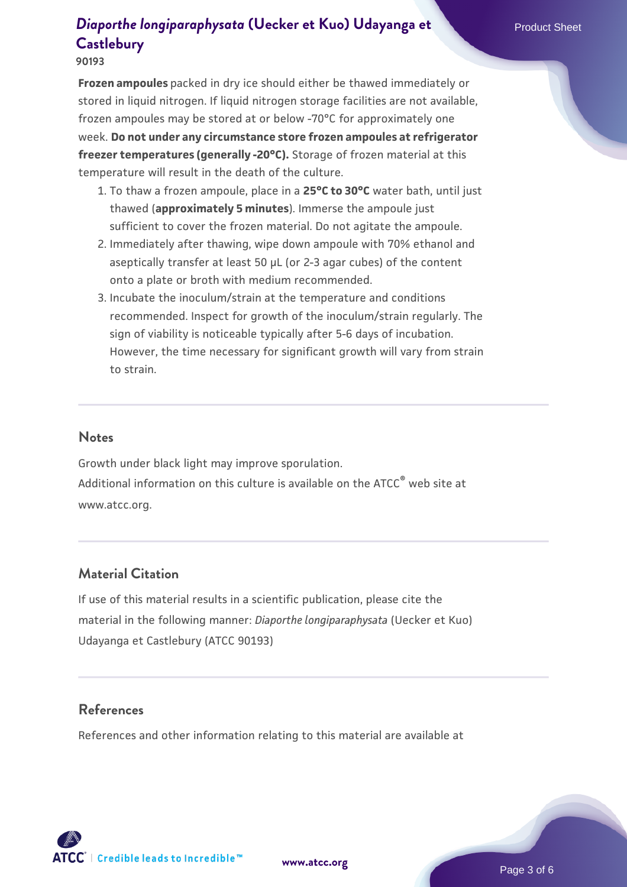#### **90193**

**Frozen ampoules** packed in dry ice should either be thawed immediately or stored in liquid nitrogen. If liquid nitrogen storage facilities are not available, frozen ampoules may be stored at or below -70°C for approximately one week. **Do not under any circumstance store frozen ampoules at refrigerator freezer temperatures (generally -20°C).** Storage of frozen material at this temperature will result in the death of the culture.

- 1. To thaw a frozen ampoule, place in a **25°C to 30°C** water bath, until just thawed (**approximately 5 minutes**). Immerse the ampoule just sufficient to cover the frozen material. Do not agitate the ampoule.
- 2. Immediately after thawing, wipe down ampoule with 70% ethanol and aseptically transfer at least 50 µL (or 2-3 agar cubes) of the content onto a plate or broth with medium recommended.
- 3. Incubate the inoculum/strain at the temperature and conditions recommended. Inspect for growth of the inoculum/strain regularly. The sign of viability is noticeable typically after 5-6 days of incubation. However, the time necessary for significant growth will vary from strain to strain.

#### **Notes**

Growth under black light may improve sporulation. Additional information on this culture is available on the ATCC<sup>®</sup> web site at www.atcc.org.

#### **Material Citation**

If use of this material results in a scientific publication, please cite the material in the following manner: *Diaporthe longiparaphysata* (Uecker et Kuo) Udayanga et Castlebury (ATCC 90193)

## **References**

References and other information relating to this material are available at

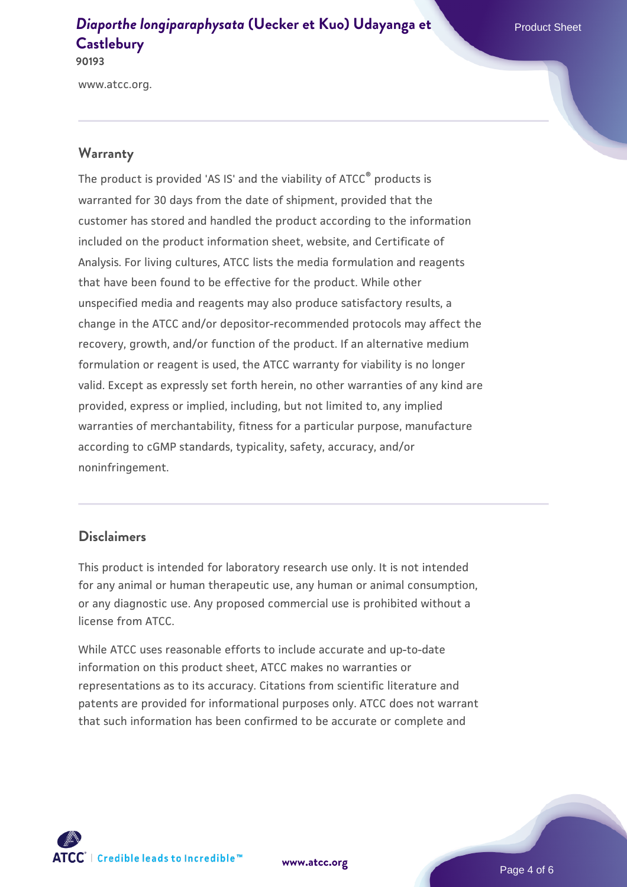www.atcc.org.

#### **Warranty**

The product is provided 'AS IS' and the viability of ATCC® products is warranted for 30 days from the date of shipment, provided that the customer has stored and handled the product according to the information included on the product information sheet, website, and Certificate of Analysis. For living cultures, ATCC lists the media formulation and reagents that have been found to be effective for the product. While other unspecified media and reagents may also produce satisfactory results, a change in the ATCC and/or depositor-recommended protocols may affect the recovery, growth, and/or function of the product. If an alternative medium formulation or reagent is used, the ATCC warranty for viability is no longer valid. Except as expressly set forth herein, no other warranties of any kind are provided, express or implied, including, but not limited to, any implied warranties of merchantability, fitness for a particular purpose, manufacture according to cGMP standards, typicality, safety, accuracy, and/or noninfringement.

#### **Disclaimers**

This product is intended for laboratory research use only. It is not intended for any animal or human therapeutic use, any human or animal consumption, or any diagnostic use. Any proposed commercial use is prohibited without a license from ATCC.

While ATCC uses reasonable efforts to include accurate and up-to-date information on this product sheet, ATCC makes no warranties or representations as to its accuracy. Citations from scientific literature and patents are provided for informational purposes only. ATCC does not warrant that such information has been confirmed to be accurate or complete and



**[www.atcc.org](http://www.atcc.org)**

Page 4 of 6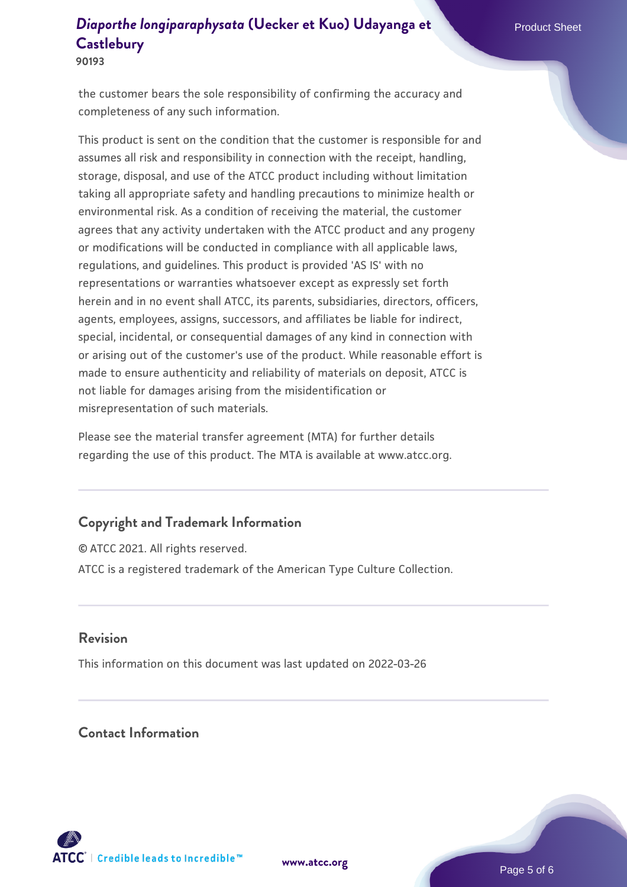the customer bears the sole responsibility of confirming the accuracy and completeness of any such information.

This product is sent on the condition that the customer is responsible for and assumes all risk and responsibility in connection with the receipt, handling, storage, disposal, and use of the ATCC product including without limitation taking all appropriate safety and handling precautions to minimize health or environmental risk. As a condition of receiving the material, the customer agrees that any activity undertaken with the ATCC product and any progeny or modifications will be conducted in compliance with all applicable laws, regulations, and guidelines. This product is provided 'AS IS' with no representations or warranties whatsoever except as expressly set forth herein and in no event shall ATCC, its parents, subsidiaries, directors, officers, agents, employees, assigns, successors, and affiliates be liable for indirect, special, incidental, or consequential damages of any kind in connection with or arising out of the customer's use of the product. While reasonable effort is made to ensure authenticity and reliability of materials on deposit, ATCC is not liable for damages arising from the misidentification or misrepresentation of such materials.

Please see the material transfer agreement (MTA) for further details regarding the use of this product. The MTA is available at www.atcc.org.

# **Copyright and Trademark Information**

© ATCC 2021. All rights reserved. ATCC is a registered trademark of the American Type Culture Collection.

#### **Revision**

This information on this document was last updated on 2022-03-26

# **Contact Information**



**[www.atcc.org](http://www.atcc.org)**